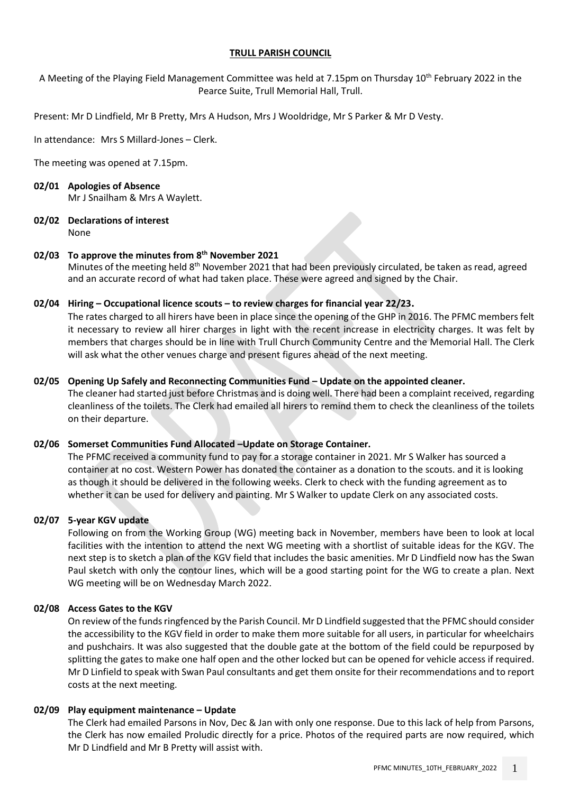## **TRULL PARISH COUNCIL**

A Meeting of the Playing Field Management Committee was held at 7.15pm on Thursday 10th February 2022 in the Pearce Suite, Trull Memorial Hall, Trull.

Present: Mr D Lindfield, Mr B Pretty, Mrs A Hudson, Mrs J Wooldridge, Mr S Parker & Mr D Vesty.

In attendance: Mrs S Millard-Jones – Clerk.

The meeting was opened at 7.15pm.

# **02/01 Apologies of Absence**

Mr J Snailham & Mrs A Waylett.

**02/02 Declarations of interest** None

## **02/03 To approve the minutes from 8 th November 2021**

Minutes of the meeting held 8<sup>th</sup> November 2021 that had been previously circulated, be taken as read, agreed and an accurate record of what had taken place. These were agreed and signed by the Chair.

## **02/04 Hiring – Occupational licence scouts – to review charges for financial year 22/23.**

The rates charged to all hirers have been in place since the opening of the GHP in 2016. The PFMC members felt it necessary to review all hirer charges in light with the recent increase in electricity charges. It was felt by members that charges should be in line with Trull Church Community Centre and the Memorial Hall. The Clerk will ask what the other venues charge and present figures ahead of the next meeting.

## **02/05 Opening Up Safely and Reconnecting Communities Fund – Update on the appointed cleaner.**

The cleaner had started just before Christmas and is doing well. There had been a complaint received, regarding cleanliness of the toilets. The Clerk had emailed all hirers to remind them to check the cleanliness of the toilets on their departure.

## **02/06 Somerset Communities Fund Allocated –Update on Storage Container.**

The PFMC received a community fund to pay for a storage container in 2021. Mr S Walker has sourced a container at no cost. Western Power has donated the container as a donation to the scouts. and it is looking as though it should be delivered in the following weeks. Clerk to check with the funding agreement as to whether it can be used for delivery and painting. Mr S Walker to update Clerk on any associated costs.

## **02/07 5-year KGV update**

Following on from the Working Group (WG) meeting back in November, members have been to look at local facilities with the intention to attend the next WG meeting with a shortlist of suitable ideas for the KGV. The next step is to sketch a plan of the KGV field that includes the basic amenities. Mr D Lindfield now has the Swan Paul sketch with only the contour lines, which will be a good starting point for the WG to create a plan. Next WG meeting will be on Wednesday March 2022.

#### **02/08 Access Gates to the KGV**

On review of the funds ringfenced by the Parish Council. Mr D Lindfield suggested that the PFMC should consider the accessibility to the KGV field in order to make them more suitable for all users, in particular for wheelchairs and pushchairs. It was also suggested that the double gate at the bottom of the field could be repurposed by splitting the gates to make one half open and the other locked but can be opened for vehicle access if required. Mr D Linfield to speak with Swan Paul consultants and get them onsite for their recommendations and to report costs at the next meeting.

#### **02/09 Play equipment maintenance – Update**

The Clerk had emailed Parsons in Nov, Dec & Jan with only one response. Due to this lack of help from Parsons, the Clerk has now emailed Proludic directly for a price. Photos of the required parts are now required, which Mr D Lindfield and Mr B Pretty will assist with.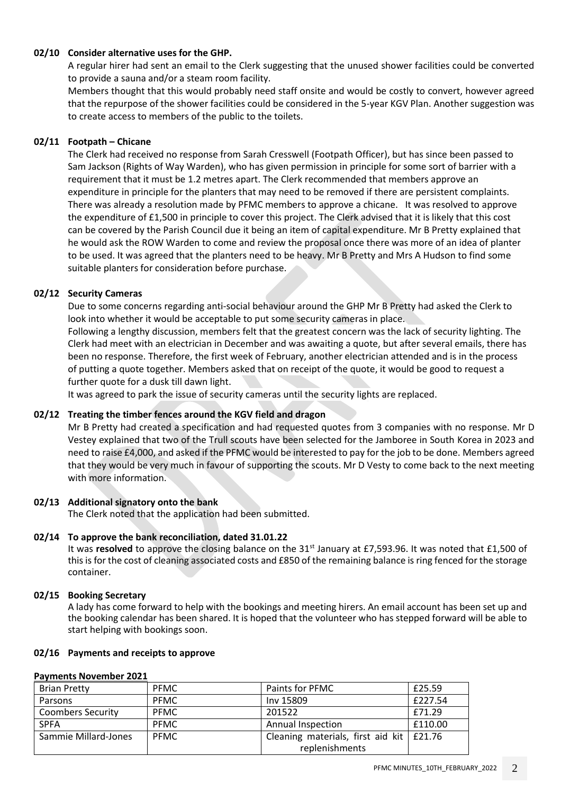## **02/10 Consider alternative uses for the GHP.**

A regular hirer had sent an email to the Clerk suggesting that the unused shower facilities could be converted to provide a sauna and/or a steam room facility.

Members thought that this would probably need staff onsite and would be costly to convert, however agreed that the repurpose of the shower facilities could be considered in the 5-year KGV Plan. Another suggestion was to create access to members of the public to the toilets.

## **02/11 Footpath – Chicane**

The Clerk had received no response from Sarah Cresswell (Footpath Officer), but has since been passed to Sam Jackson (Rights of Way Warden), who has given permission in principle for some sort of barrier with a requirement that it must be 1.2 metres apart. The Clerk recommended that members approve an expenditure in principle for the planters that may need to be removed if there are persistent complaints. There was already a resolution made by PFMC members to approve a chicane. It was resolved to approve the expenditure of £1,500 in principle to cover this project. The Clerk advised that it is likely that this cost can be covered by the Parish Council due it being an item of capital expenditure. Mr B Pretty explained that he would ask the ROW Warden to come and review the proposal once there was more of an idea of planter to be used. It was agreed that the planters need to be heavy. Mr B Pretty and Mrs A Hudson to find some suitable planters for consideration before purchase.

## **02/12 Security Cameras**

Due to some concerns regarding anti-social behaviour around the GHP Mr B Pretty had asked the Clerk to look into whether it would be acceptable to put some security cameras in place.

Following a lengthy discussion, members felt that the greatest concern was the lack of security lighting. The Clerk had meet with an electrician in December and was awaiting a quote, but after several emails, there has been no response. Therefore, the first week of February, another electrician attended and is in the process of putting a quote together. Members asked that on receipt of the quote, it would be good to request a further quote for a dusk till dawn light.

It was agreed to park the issue of security cameras until the security lights are replaced.

#### **02/12 Treating the timber fences around the KGV field and dragon**

Mr B Pretty had created a specification and had requested quotes from 3 companies with no response. Mr D Vestey explained that two of the Trull scouts have been selected for the Jamboree in South Korea in 2023 and need to raise £4,000, and asked if the PFMC would be interested to pay for the job to be done. Members agreed that they would be very much in favour of supporting the scouts. Mr D Vesty to come back to the next meeting with more information.

#### **02/13 Additional signatory onto the bank**

The Clerk noted that the application had been submitted.

#### **02/14 To approve the bank reconciliation, dated 31.01.22**

It was **resolved** to approve the closing balance on the 31st January at £7,593.96. It was noted that £1,500 of this is for the cost of cleaning associated costs and £850 of the remaining balance is ring fenced for the storage container.

## **02/15 Booking Secretary**

A lady has come forward to help with the bookings and meeting hirers. An email account has been set up and the booking calendar has been shared. It is hoped that the volunteer who has stepped forward will be able to start helping with bookings soon.

#### **02/16 Payments and receipts to approve**

#### **Payments November 2021**

| <b>Brian Pretty</b>      | <b>PFMC</b> | Paints for PFMC                                  | £25.59  |
|--------------------------|-------------|--------------------------------------------------|---------|
| Parsons                  | <b>PFMC</b> | Inv 15809                                        | £227.54 |
| <b>Coombers Security</b> | <b>PFMC</b> | 201522                                           | £71.29  |
| <b>SPFA</b>              | <b>PFMC</b> | <b>Annual Inspection</b>                         | £110.00 |
| Sammie Millard-Jones     | <b>PFMC</b> | Cleaning materials, first aid kit $\vert$ £21.76 |         |
|                          |             | replenishments                                   |         |